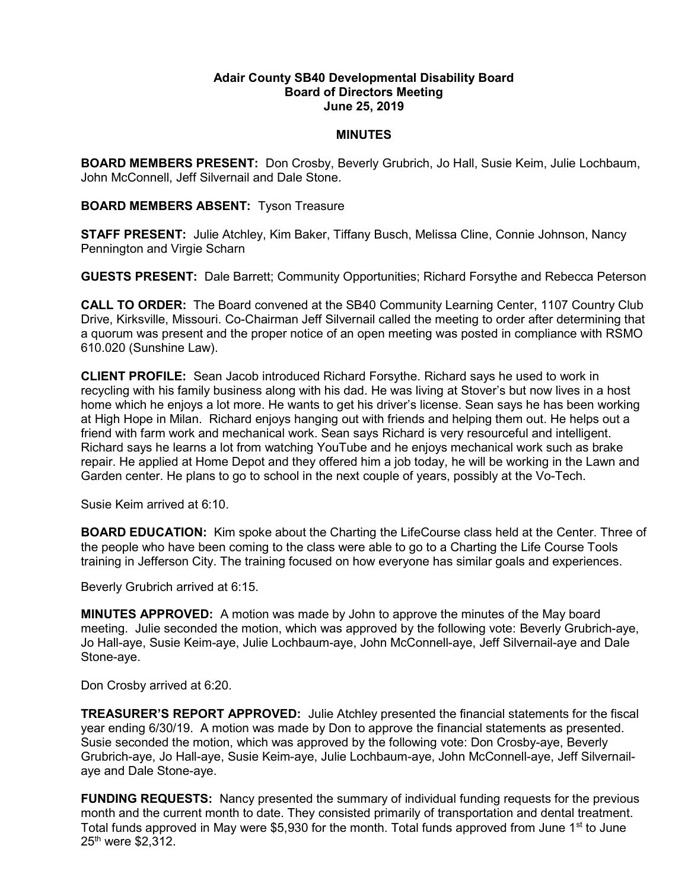## Adair County SB40 Developmental Disability Board Board of Directors Meeting June 25, 2019

## MINUTES

BOARD MEMBERS PRESENT: Don Crosby, Beverly Grubrich, Jo Hall, Susie Keim, Julie Lochbaum, John McConnell, Jeff Silvernail and Dale Stone.

## BOARD MEMBERS ABSENT: Tyson Treasure

STAFF PRESENT: Julie Atchley, Kim Baker, Tiffany Busch, Melissa Cline, Connie Johnson, Nancy Pennington and Virgie Scharn

GUESTS PRESENT: Dale Barrett; Community Opportunities; Richard Forsythe and Rebecca Peterson

CALL TO ORDER: The Board convened at the SB40 Community Learning Center, 1107 Country Club Drive, Kirksville, Missouri. Co-Chairman Jeff Silvernail called the meeting to order after determining that a quorum was present and the proper notice of an open meeting was posted in compliance with RSMO 610.020 (Sunshine Law).

CLIENT PROFILE: Sean Jacob introduced Richard Forsythe. Richard says he used to work in recycling with his family business along with his dad. He was living at Stover's but now lives in a host home which he enjoys a lot more. He wants to get his driver's license. Sean says he has been working at High Hope in Milan. Richard enjoys hanging out with friends and helping them out. He helps out a friend with farm work and mechanical work. Sean says Richard is very resourceful and intelligent. Richard says he learns a lot from watching YouTube and he enjoys mechanical work such as brake repair. He applied at Home Depot and they offered him a job today, he will be working in the Lawn and Garden center. He plans to go to school in the next couple of years, possibly at the Vo-Tech.

Susie Keim arrived at 6:10.

BOARD EDUCATION: Kim spoke about the Charting the LifeCourse class held at the Center. Three of the people who have been coming to the class were able to go to a Charting the Life Course Tools training in Jefferson City. The training focused on how everyone has similar goals and experiences.

Beverly Grubrich arrived at 6:15.

MINUTES APPROVED: A motion was made by John to approve the minutes of the May board meeting. Julie seconded the motion, which was approved by the following vote: Beverly Grubrich-aye, Jo Hall-aye, Susie Keim-aye, Julie Lochbaum-aye, John McConnell-aye, Jeff Silvernail-aye and Dale Stone-aye.

Don Crosby arrived at 6:20.

TREASURER'S REPORT APPROVED: Julie Atchley presented the financial statements for the fiscal year ending 6/30/19. A motion was made by Don to approve the financial statements as presented. Susie seconded the motion, which was approved by the following vote: Don Crosby-aye, Beverly Grubrich-aye, Jo Hall-aye, Susie Keim-aye, Julie Lochbaum-aye, John McConnell-aye, Jeff Silvernailaye and Dale Stone-aye.

FUNDING REQUESTS: Nancy presented the summary of individual funding requests for the previous month and the current month to date. They consisted primarily of transportation and dental treatment. Total funds approved in May were \$5,930 for the month. Total funds approved from June 1<sup>st</sup> to June 25<sup>th</sup> were \$2,312.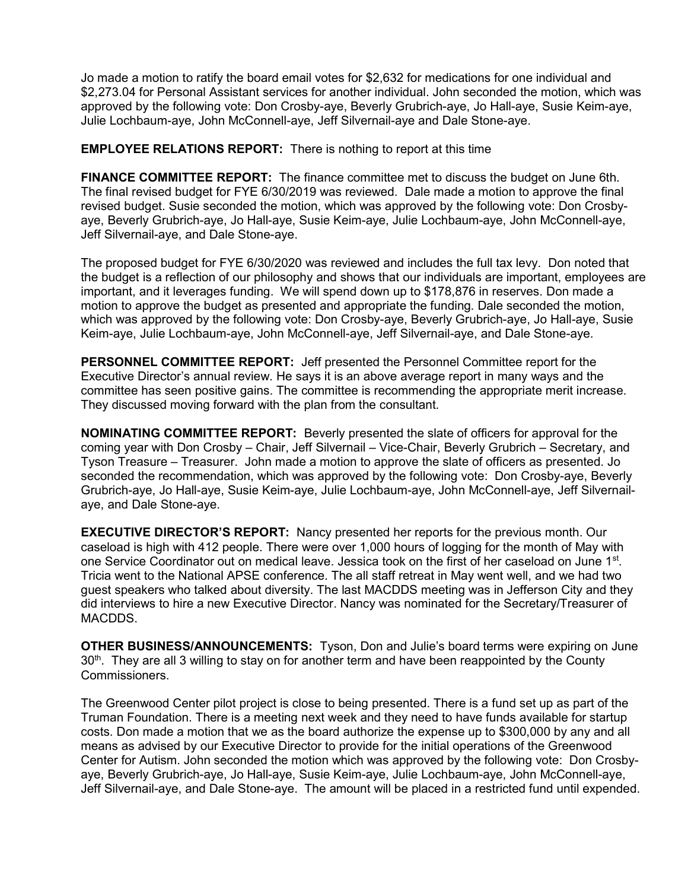Jo made a motion to ratify the board email votes for \$2,632 for medications for one individual and \$2,273.04 for Personal Assistant services for another individual. John seconded the motion, which was approved by the following vote: Don Crosby-aye, Beverly Grubrich-aye, Jo Hall-aye, Susie Keim-aye, Julie Lochbaum-aye, John McConnell-aye, Jeff Silvernail-aye and Dale Stone-aye.

EMPLOYEE RELATIONS REPORT: There is nothing to report at this time

FINANCE COMMITTEE REPORT: The finance committee met to discuss the budget on June 6th. The final revised budget for FYE 6/30/2019 was reviewed. Dale made a motion to approve the final revised budget. Susie seconded the motion, which was approved by the following vote: Don Crosbyaye, Beverly Grubrich-aye, Jo Hall-aye, Susie Keim-aye, Julie Lochbaum-aye, John McConnell-aye, Jeff Silvernail-aye, and Dale Stone-aye.

The proposed budget for FYE 6/30/2020 was reviewed and includes the full tax levy. Don noted that the budget is a reflection of our philosophy and shows that our individuals are important, employees are important, and it leverages funding. We will spend down up to \$178,876 in reserves. Don made a motion to approve the budget as presented and appropriate the funding. Dale seconded the motion, which was approved by the following vote: Don Crosby-aye, Beverly Grubrich-aye, Jo Hall-aye, Susie Keim-aye, Julie Lochbaum-aye, John McConnell-aye, Jeff Silvernail-aye, and Dale Stone-aye.

PERSONNEL COMMITTEE REPORT: Jeff presented the Personnel Committee report for the Executive Director's annual review. He says it is an above average report in many ways and the committee has seen positive gains. The committee is recommending the appropriate merit increase. They discussed moving forward with the plan from the consultant.

NOMINATING COMMITTEE REPORT: Beverly presented the slate of officers for approval for the coming year with Don Crosby – Chair, Jeff Silvernail – Vice-Chair, Beverly Grubrich – Secretary, and Tyson Treasure – Treasurer. John made a motion to approve the slate of officers as presented. Jo seconded the recommendation, which was approved by the following vote: Don Crosby-aye, Beverly Grubrich-aye, Jo Hall-aye, Susie Keim-aye, Julie Lochbaum-aye, John McConnell-aye, Jeff Silvernailaye, and Dale Stone-aye.

EXECUTIVE DIRECTOR'S REPORT: Nancy presented her reports for the previous month. Our caseload is high with 412 people. There were over 1,000 hours of logging for the month of May with one Service Coordinator out on medical leave. Jessica took on the first of her caseload on June 1<sup>st</sup>. Tricia went to the National APSE conference. The all staff retreat in May went well, and we had two guest speakers who talked about diversity. The last MACDDS meeting was in Jefferson City and they did interviews to hire a new Executive Director. Nancy was nominated for the Secretary/Treasurer of MACDDS.

OTHER BUSINESS/ANNOUNCEMENTS: Tyson, Don and Julie's board terms were expiring on June  $30<sup>th</sup>$ . They are all 3 willing to stay on for another term and have been reappointed by the County Commissioners.

The Greenwood Center pilot project is close to being presented. There is a fund set up as part of the Truman Foundation. There is a meeting next week and they need to have funds available for startup costs. Don made a motion that we as the board authorize the expense up to \$300,000 by any and all means as advised by our Executive Director to provide for the initial operations of the Greenwood Center for Autism. John seconded the motion which was approved by the following vote: Don Crosbyaye, Beverly Grubrich-aye, Jo Hall-aye, Susie Keim-aye, Julie Lochbaum-aye, John McConnell-aye, Jeff Silvernail-aye, and Dale Stone-aye. The amount will be placed in a restricted fund until expended.